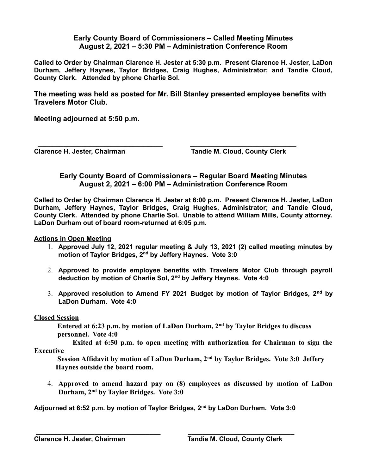## **Early County Board of Commissioners – Called Meeting Minutes August 2, 2021 – 5:30 PM – Administration Conference Room**

**Called to Order by Chairman Clarence H. Jester at 5:30 p.m. Present Clarence H. Jester, LaDon Durham, Jeffery Haynes, Taylor Bridges, Craig Hughes, Administrator; and Tandie Cloud, County Clerk. Attended by phone Charlie Sol.**

**The meeting was held as posted for Mr. Bill Stanley presented employee benefits with Travelers Motor Club.**

**Meeting adjourned at 5:50 p.m.**

 **\_\_\_\_\_\_\_\_\_\_\_\_\_\_\_\_\_\_\_\_\_\_\_\_\_\_\_\_\_\_\_\_\_\_ \_\_\_\_\_\_\_\_\_\_\_\_\_\_\_\_\_\_\_\_\_\_\_\_\_\_\_\_\_ Clarence H. Jester, Chairman Tandie M. Cloud, County Clerk**

## **Early County Board of Commissioners – Regular Board Meeting Minutes August 2, 2021 – 6:00 PM – Administration Conference Room**

**Called to Order by Chairman Clarence H. Jester at 6:00 p.m. Present Clarence H. Jester, LaDon Durham, Jeffery Haynes, Taylor Bridges, Craig Hughes, Administrator; and Tandie Cloud, County Clerk. Attended by phone Charlie Sol. Unable to attend William Mills, County attorney. LaDon Durham out of board room-returned at 6:05 p.m.**

**Actions in Open Meeting**

- 1. **Approved July 12, 2021 regular meeting & July 13, 2021 (2) called meeting minutes by motion of Taylor Bridges, 2nd by Jeffery Haynes. Vote 3:0**
- 2. **Approved to provide employee benefits with Travelers Motor Club through payroll deduction by motion of Charlie Sol, 2nd by Jeffery Haynes. Vote 4:0**
- 3. **Approved resolution to Amend FY 2021 Budget by motion of Taylor Bridges, 2nd by LaDon Durham. Vote 4:0**

## **Closed Session**

 **Entered at 6:23 p.m. by motion of LaDon Durham, 2nd by Taylor Bridges to discuss personnel. Vote 4:0**

 **Exited at 6:50 p.m. to open meeting with authorization for Chairman to sign the Executive** 

 **Session Affidavit by motion of LaDon Durham, 2nd by Taylor Bridges. Vote 3:0 Jeffery Haynes outside the board room.**

4. **Approved to amend hazard pay on (8) employees as discussed by motion of LaDon Durham, 2nd by Taylor Bridges. Vote 3:0**

**Adjourned at 6:52 p.m. by motion of Taylor Bridges, 2nd by LaDon Durham. Vote 3:0**

 **\_\_\_\_\_\_\_\_\_\_\_\_\_\_\_\_\_\_\_\_\_\_\_\_\_\_\_\_\_\_\_\_\_\_ \_\_\_\_\_\_\_\_\_\_\_\_\_\_\_\_\_\_\_\_\_\_\_\_\_\_\_\_\_**